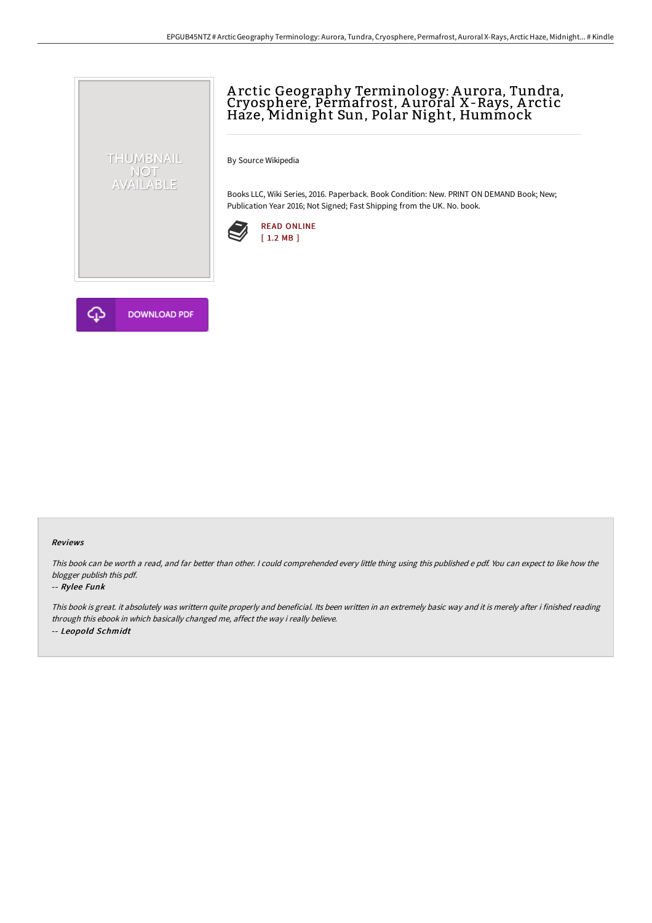# A rctic Geography Terminology: A urora, Tundra, Cryosphere, Permafrost, Auroral X-Rays, Arctic Haze, Midnight Sun, Polar Night, Hummock

By Source Wikipedia

Books LLC, Wiki Series, 2016. Paperback. Book Condition: New. PRINT ON DEMAND Book; New; Publication Year 2016; Not Signed; Fast Shipping from the UK. No. book.





THUMBNAIL NOT<br>AVAILABLE

#### Reviews

This book can be worth <sup>a</sup> read, and far better than other. <sup>I</sup> could comprehended every little thing using this published <sup>e</sup> pdf. You can expect to like how the blogger publish this pdf.

#### -- Rylee Funk

This book is great. it absolutely was writtern quite properly and beneficial. Its been written in an extremely basic way and it is merely after i finished reading through this ebook in which basically changed me, affect the way i really believe. -- Leopold Schmidt